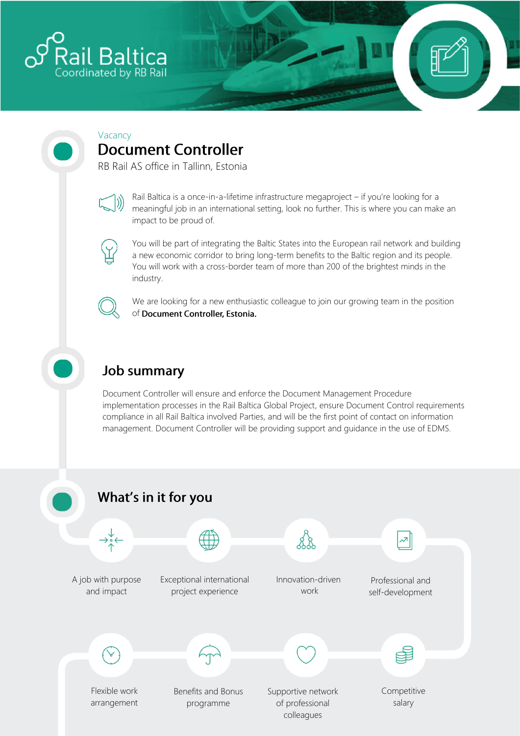

### Vacancy **Document Controller**

RB Rail AS office in Tallinn, Estonia



Rail Baltica is a once-in-a-lifetime infrastructure megaproject – if you're looking for a meaningful job in an international setting, look no further. This is where you can make an impact to be proud of.



You will be part of integrating the Baltic States into the European rail network and building a new economic corridor to bring long-term benefits to the Baltic region and its people. You will work with a cross-border team of more than 200 of the brightest minds in the industry.



We are looking for a new enthusiastic colleague to join our growing team in the position of Document Controller, Estonia.

## **Job summary**

Document Controller will ensure and enforce the Document Management Procedure implementation processes in the Rail Baltica Global Project, ensure Document Control requirements compliance in all Rail Baltica involved Parties, and will be the first point of contact on information management. Document Controller will be providing support and guidance in the use of EDMS.